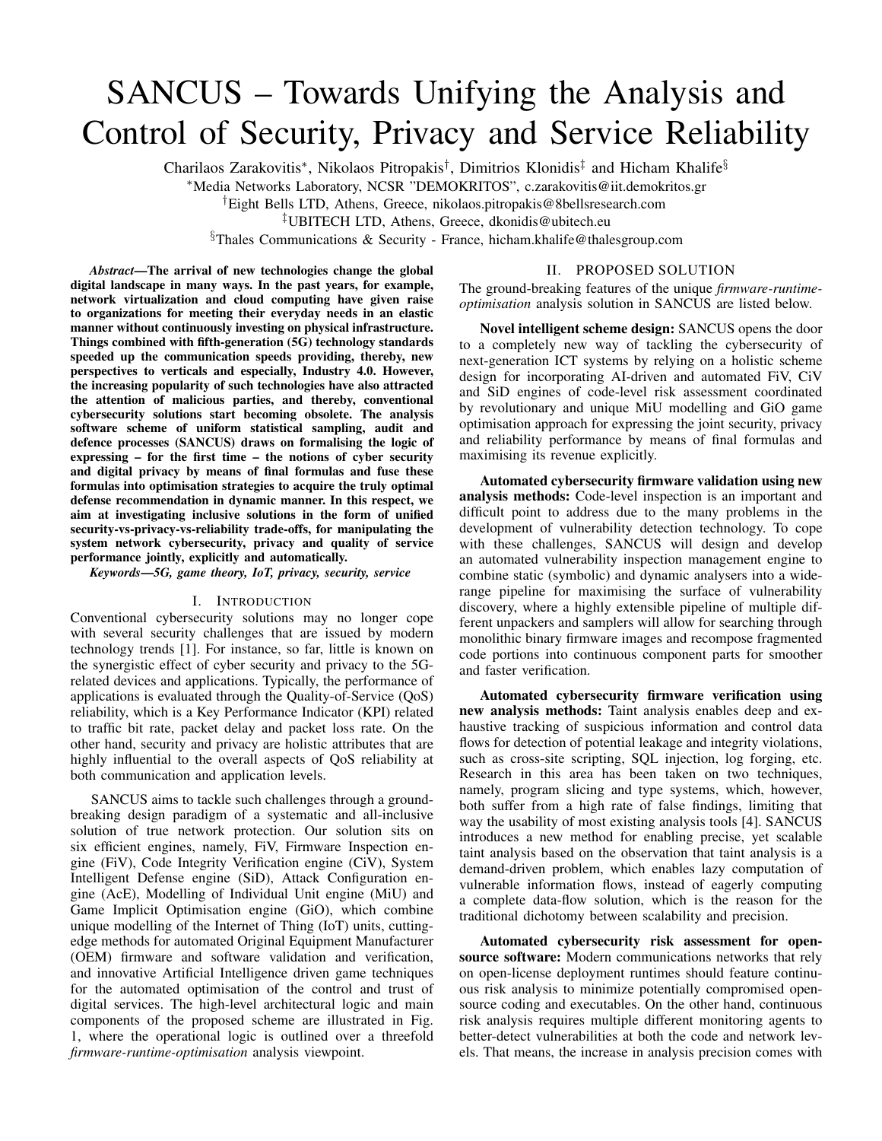# SANCUS – Towards Unifying the Analysis and Control of Security, Privacy and Service Reliability

Charilaos Zarakovitis\*, Nikolaos Pitropakis<sup>†</sup>, Dimitrios Klonidis<sup>‡</sup> and Hicham Khalife<sup>§</sup>

<sup>∗</sup>Media Networks Laboratory, NCSR "DEMOKRITOS", c.zarakovitis@iit.demokritos.gr

†Eight Bells LTD, Athens, Greece, nikolaos.pitropakis@8bellsresearch.com

‡UBITECH LTD, Athens, Greece, dkonidis@ubitech.eu

§Thales Communications & Security - France, hicham.khalife@thalesgroup.com

*Abstract*—The arrival of new technologies change the global digital landscape in many ways. In the past years, for example, network virtualization and cloud computing have given raise to organizations for meeting their everyday needs in an elastic manner without continuously investing on physical infrastructure. Things combined with fifth-generation (5G) technology standards speeded up the communication speeds providing, thereby, new perspectives to verticals and especially, Industry 4.0. However, the increasing popularity of such technologies have also attracted the attention of malicious parties, and thereby, conventional cybersecurity solutions start becoming obsolete. The analysis software scheme of uniform statistical sampling, audit and defence processes (SANCUS) draws on formalising the logic of expressing – for the first time – the notions of cyber security and digital privacy by means of final formulas and fuse these formulas into optimisation strategies to acquire the truly optimal defense recommendation in dynamic manner. In this respect, we aim at investigating inclusive solutions in the form of unified security-vs-privacy-vs-reliability trade-offs, for manipulating the system network cybersecurity, privacy and quality of service performance jointly, explicitly and automatically.

*Keywords*—*5G, game theory, IoT, privacy, security, service*

## I. INTRODUCTION

Conventional cybersecurity solutions may no longer cope with several security challenges that are issued by modern technology trends [1]. For instance, so far, little is known on the synergistic effect of cyber security and privacy to the 5Grelated devices and applications. Typically, the performance of applications is evaluated through the Quality-of-Service (QoS) reliability, which is a Key Performance Indicator (KPI) related to traffic bit rate, packet delay and packet loss rate. On the other hand, security and privacy are holistic attributes that are highly influential to the overall aspects of QoS reliability at both communication and application levels.

SANCUS aims to tackle such challenges through a groundbreaking design paradigm of a systematic and all-inclusive solution of true network protection. Our solution sits on six efficient engines, namely, FiV, Firmware Inspection engine (FiV), Code Integrity Verification engine (CiV), System Intelligent Defense engine (SiD), Attack Configuration engine (AcE), Modelling of Individual Unit engine (MiU) and Game Implicit Optimisation engine (GiO), which combine unique modelling of the Internet of Thing (IoT) units, cuttingedge methods for automated Original Equipment Manufacturer (OEM) firmware and software validation and verification, and innovative Artificial Intelligence driven game techniques for the automated optimisation of the control and trust of digital services. The high-level architectural logic and main components of the proposed scheme are illustrated in Fig. 1, where the operational logic is outlined over a threefold *firmware-runtime-optimisation* analysis viewpoint.

#### II. PROPOSED SOLUTION

The ground-breaking features of the unique *firmware-runtimeoptimisation* analysis solution in SANCUS are listed below.

Novel intelligent scheme design: SANCUS opens the door to a completely new way of tackling the cybersecurity of next-generation ICT systems by relying on a holistic scheme design for incorporating AI-driven and automated FiV, CiV and SiD engines of code-level risk assessment coordinated by revolutionary and unique MiU modelling and GiO game optimisation approach for expressing the joint security, privacy and reliability performance by means of final formulas and maximising its revenue explicitly.

Automated cybersecurity firmware validation using new analysis methods: Code-level inspection is an important and difficult point to address due to the many problems in the development of vulnerability detection technology. To cope with these challenges, SANCUS will design and develop an automated vulnerability inspection management engine to combine static (symbolic) and dynamic analysers into a widerange pipeline for maximising the surface of vulnerability discovery, where a highly extensible pipeline of multiple different unpackers and samplers will allow for searching through monolithic binary firmware images and recompose fragmented code portions into continuous component parts for smoother and faster verification.

Automated cybersecurity firmware verification using new analysis methods: Taint analysis enables deep and exhaustive tracking of suspicious information and control data flows for detection of potential leakage and integrity violations, such as cross-site scripting, SQL injection, log forging, etc. Research in this area has been taken on two techniques, namely, program slicing and type systems, which, however, both suffer from a high rate of false findings, limiting that way the usability of most existing analysis tools [4]. SANCUS introduces a new method for enabling precise, yet scalable taint analysis based on the observation that taint analysis is a demand-driven problem, which enables lazy computation of vulnerable information flows, instead of eagerly computing a complete data-flow solution, which is the reason for the traditional dichotomy between scalability and precision.

Automated cybersecurity risk assessment for opensource software: Modern communications networks that rely on open-license deployment runtimes should feature continuous risk analysis to minimize potentially compromised opensource coding and executables. On the other hand, continuous risk analysis requires multiple different monitoring agents to better-detect vulnerabilities at both the code and network levels. That means, the increase in analysis precision comes with